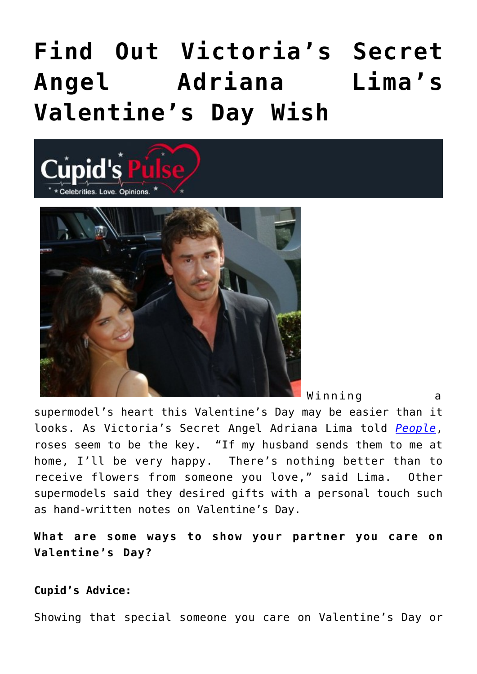## **[Find Out Victoria's Secret](https://cupidspulse.com/26688/victorias-secret-angel-adriana-limas-valentines-day-wish/) [Angel Adriana Lima's](https://cupidspulse.com/26688/victorias-secret-angel-adriana-limas-valentines-day-wish/) [Valentine's Day Wish](https://cupidspulse.com/26688/victorias-secret-angel-adriana-limas-valentines-day-wish/)**





Winning a

supermodel's heart this Valentine's Day may be easier than it looks. As Victoria's Secret Angel Adriana Lima told *[People](http://www.people.com/people/article/0,,20565940,00.html)*, roses seem to be the key. "If my husband sends them to me at home, I'll be very happy. There's nothing better than to receive flowers from someone you love," said Lima. Other supermodels said they desired gifts with a personal touch such as hand-written notes on Valentine's Day.

**What are some ways to show your partner you care on Valentine's Day?**

## **Cupid's Advice:**

Showing that special someone you care on Valentine's Day or